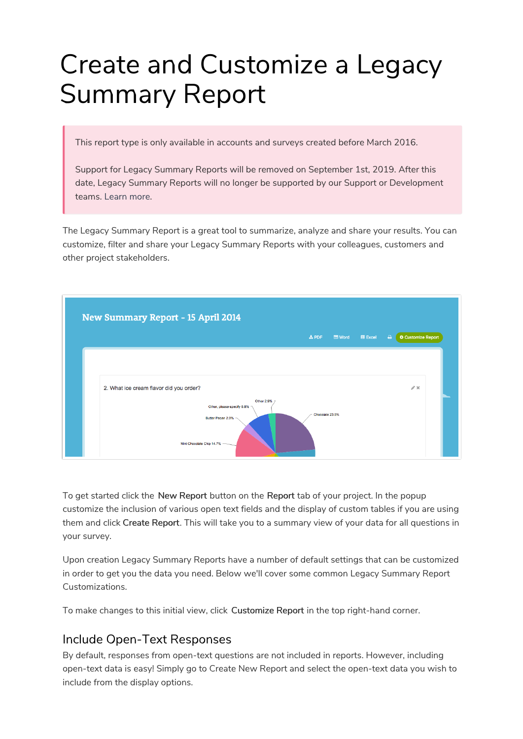# Create and Customize a Legacy Summary Report

This report type is only available in accounts and surveys created before March 2016.

Support for Legacy Summary Reports will be removed on September 1st, 2019. After this date, Legacy Summary Reports will no longer be supported by our Support or Development teams. Learn more.

The Legacy Summary Report is a great tool to summarize, analyze and share your results. You can customize, filter and share your Legacy Summary Reports with your colleagues, customers and other project stakeholders.



To get started click the New Report button on the Report tab of your project. In the popup customize the inclusion of various open text fields and the display of custom tables if you are using them and click Create Report. This will take you to a summary view of your data for all questions in your survey.

Upon creation Legacy Summary Reports have a number of default settings that can be customized in order to get you the data you need. Below we'll cover some common Legacy Summary Report Customizations.

To make changes to this initial view, click Customize Report in the top right-hand corner.

### Include Open-Text Responses

By default, responses from open-text questions are not included in reports. However, including open-text data is easy! Simply go to Create New Report and select the open-text data you wish to include from the display options.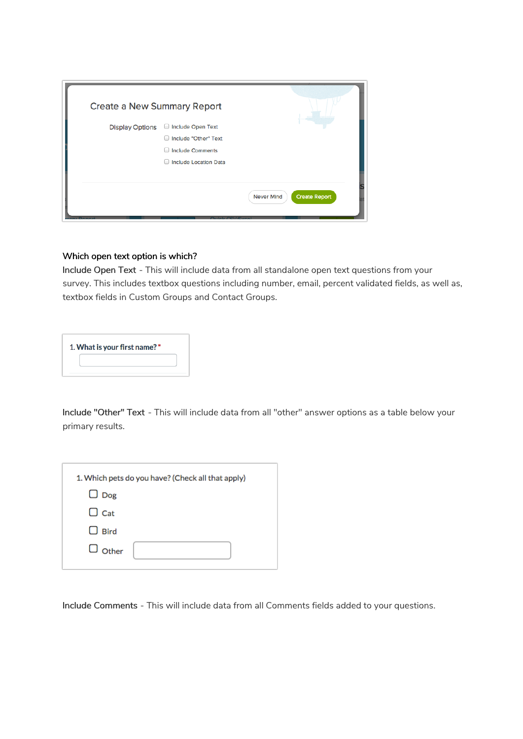| <b>Create a New Summary Report</b> |                                                                                |                                           |
|------------------------------------|--------------------------------------------------------------------------------|-------------------------------------------|
| <b>Display Options</b>             | Include Open Text<br>Include "Other" Text<br>О<br><b>Include Comments</b><br>ы |                                           |
|                                    | <b>Include Location Data</b><br>О                                              |                                           |
|                                    |                                                                                | <b>Create Report</b><br><b>Never Mind</b> |

#### Which open text option is which?

Include Open Text - This will include data from all standalone open text questions from your survey. This includes textbox questions including number, email, percent validated fields, as well as, textbox fields in Custom Groups and Contact Groups.

| 1. What is your first name? * |  |  |  |  |
|-------------------------------|--|--|--|--|
|                               |  |  |  |  |

Include "Other" Text - This will include data from all "other" answer options as a table below your primary results.

| 1. Which pets do you have? (Check all that apply) |
|---------------------------------------------------|
| $\Box$ Dog                                        |
| $\Box$ Cat                                        |
| $\Box$ Bird                                       |
| $\Box$ Other                                      |
|                                                   |

Include Comments - This will include data from all Comments fields added to your questions.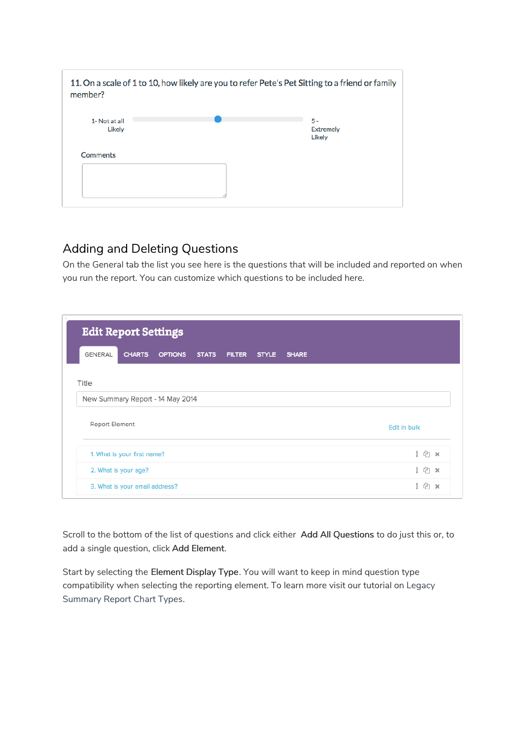| member?                 | 11. On a scale of 1 to 10, how likely are you to refer Pete's Pet Sitting to a friend or family |                                     |
|-------------------------|-------------------------------------------------------------------------------------------------|-------------------------------------|
| 1- Not at all<br>Likely |                                                                                                 | $5 -$<br><b>Extremely</b><br>Likely |
| <b>Comments</b>         |                                                                                                 |                                     |

#### Adding and Deleting Questions

On the General tab the list you see here is the questions that will be included and reported on when you run the report. You can customize which questions to be included here.

| <b>Edit Report Settings</b> |                             |                                  |  |  |  |  |              |
|-----------------------------|-----------------------------|----------------------------------|--|--|--|--|--------------|
| GENERAL                     | <b>CHARTS</b>               | OPTIONS STATS FILTER STYLE SHARE |  |  |  |  |              |
| Title                       |                             |                                  |  |  |  |  |              |
|                             |                             | New Summary Report - 14 May 2014 |  |  |  |  |              |
| Report Element              |                             |                                  |  |  |  |  | Edit in bulk |
|                             | 1. What is your first name? |                                  |  |  |  |  | 1 4 x        |
|                             | 2. What is your age?        |                                  |  |  |  |  | 1 4 x        |
|                             |                             |                                  |  |  |  |  |              |

Scroll to the bottom of the list of questions and click either Add All Questions to do just this or, to add a single question, click Add Element.

Start by selecting the Element Display Type. You will want to keep in mind question type compatibility when selecting the reporting element. To learn more visit our tutorial on Legacy Summary Report Chart Types.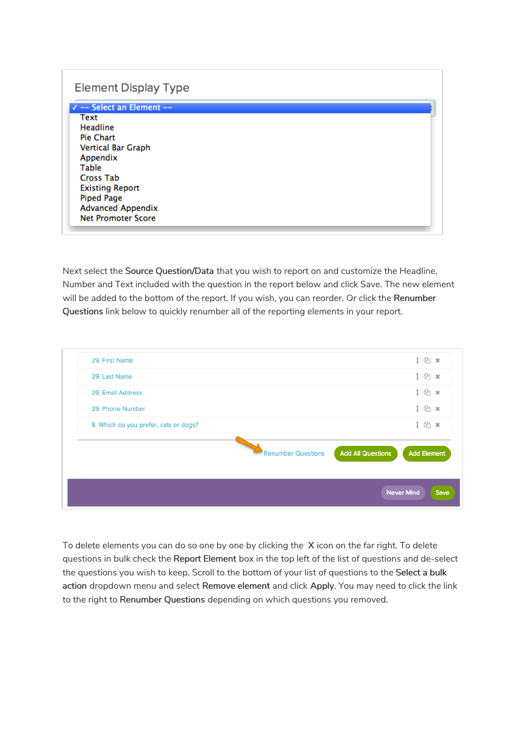#### **Element Display Type**

√ -- Select an Element --**Text** Headline Pie Chart **Vertical Bar Graph** Appendix Table **Cross Tab Existing Report Piped Page Advanced Appendix Net Promoter Score** 

Next select the Source Question/Data that you wish to report on and customize the Headline, Number and Text included with the question in the report below and click Save. The new element will be added to the bottom of the report. If you wish, you can reorder. Or click the Renumber Questions link below to quickly renumber all of the reporting elements in your report.



To delete elements you can do so one by one by clicking the X icon on the far right. To delete questions in bulk check the Report Element box in the top left of the list of questions and de-select the questions you wish to keep. Scroll to the bottom of your list of questions to the Select a bulk action dropdown menu and select Remove element and click Apply. You may need to click the link to the right to Renumber Questions depending on which questions you removed.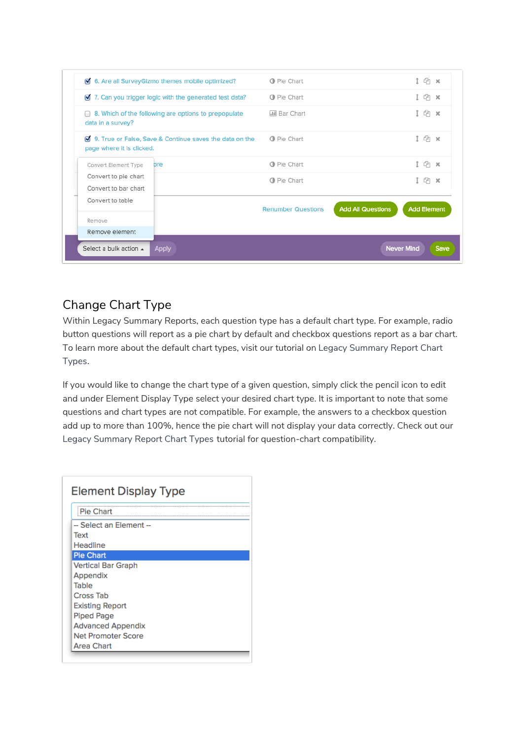|                                                                                    | 7. Can you trigger logic with the generated test data?           | <b>O</b> Pie Chart        |                          | $4^{\circ}$ x      |
|------------------------------------------------------------------------------------|------------------------------------------------------------------|---------------------------|--------------------------|--------------------|
| <b>■ 8. Which of the following are options to prepopulate</b><br>data in a survey? |                                                                  | <b>III</b> Bar Chart      |                          |                    |
| page where it is clicked.                                                          | <b>M</b> 9. True or False, Save & Continue saves the data on the | <b>O</b> Pie Chart        |                          | 1 (h x             |
| Convert Element Type                                                               | bre                                                              | <b>O</b> Pie Chart        |                          | $n \times$         |
| Convert to pie chart<br>Convert to bar chart                                       |                                                                  | <b>O</b> Pie Chart        |                          | 47x                |
| Convert to table                                                                   |                                                                  | <b>Renumber Questions</b> | <b>Add All Questions</b> | <b>Add Element</b> |
| Remove                                                                             |                                                                  |                           |                          |                    |
| Remove element                                                                     |                                                                  |                           |                          |                    |

# Change Chart Type

Within Legacy Summary Reports, each question type has a default chart type. For example, radio button questions will report as a pie chart by default and checkbox questions report as a bar chart. To learn more about the default chart types, visit our tutorial on Legacy Summary Report Chart Types.

If you would like to change the chart type of a given question, simply click the pencil icon to edit and under Element Display Type select your desired chart type. It is important to note that some questions and chart types are not compatible. For example, the answers to a checkbox question add up to more than 100%, hence the pie chart will not display your data correctly. Check out our Legacy Summary Report Chart Types tutorial for question-chart compatibility.

| <b>Element Display Type</b> |
|-----------------------------|
| <b>Pie Chart</b>            |
| -- Select an Element --     |
| Text                        |
| Headline                    |
| <b>Pie Chart</b>            |
| Vertical Bar Graph          |
| Appendix                    |
| Table                       |
| <b>Cross Tab</b>            |
| <b>Existing Report</b>      |
| <b>Piped Page</b>           |
| <b>Advanced Appendix</b>    |
| <b>Net Promoter Score</b>   |
| Area Chart                  |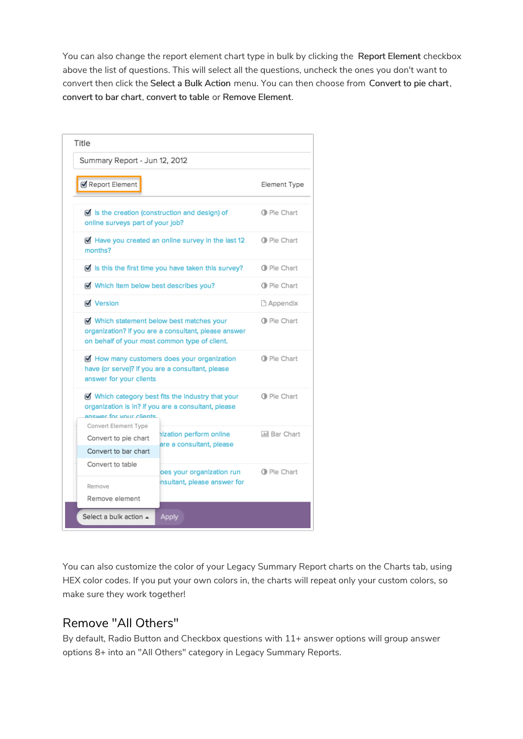You can also change the report element chart type in bulk by clicking the Report Element checkbox above the list of questions. This will select all the questions, uncheck the ones you don't want to convert then click the Select a Bulk Action menu. You can then choose from Convert to pie chart, convert to bar chart, convert to table or Remove Element.

| Title                                                                |                                                                                                                                                  |                       |  |  |  |
|----------------------------------------------------------------------|--------------------------------------------------------------------------------------------------------------------------------------------------|-----------------------|--|--|--|
| Summary Report - Jun 12, 2012                                        |                                                                                                                                                  |                       |  |  |  |
| Report Element                                                       |                                                                                                                                                  | Element Type          |  |  |  |
| online surveys part of your job?                                     | $\blacksquare$ Is the creation (construction and design) of                                                                                      | <b>O</b> Pie Chart    |  |  |  |
| months?                                                              | Have you created an online survey in the last 12                                                                                                 | <b>O</b> Pie Chart    |  |  |  |
|                                                                      | Is this the first time you have taken this survey?                                                                                               | <b>O</b> Pie Chart    |  |  |  |
| Which item below best describes you?                                 |                                                                                                                                                  | <b>O</b> Pie Chart    |  |  |  |
| <b>√</b> Version                                                     |                                                                                                                                                  |                       |  |  |  |
|                                                                      | Which statement below best matches your<br>organization? If you are a consultant, please answer<br>on behalf of your most common type of client. | <b>O</b> Pie Chart    |  |  |  |
| answer for your clients                                              | How many customers does your organization<br>have (or serve)? If you are a consultant, please                                                    | <b>O</b> Pie Chart    |  |  |  |
| answer for your clients                                              | Which category best fits the industry that your<br>organization is in? If you are a consultant, please                                           | <b>Ⅰ</b> Pie Chart    |  |  |  |
| Convert Element Type<br>Convert to pie chart<br>Convert to bar chart | hization perform online<br>are a consultant, please                                                                                              | <b>Jill Bar Chart</b> |  |  |  |
| Convert to table                                                     | oes your organization run                                                                                                                        | <b>O</b> Pie Chart    |  |  |  |
| Remove<br>Remove element                                             | nsultant, please answer for                                                                                                                      |                       |  |  |  |
| Select a bulk action $\triangle$                                     | <b>Apply</b>                                                                                                                                     |                       |  |  |  |

You can also customize the color of your Legacy Summary Report charts on the Charts tab, using HEX color codes. If you put your own colors in, the charts will repeat only your custom colors, so make sure they work together!

### Remove "All Others"

By default, Radio Button and Checkbox questions with 11+ answer options will group answer options 8+ into an "All Others" category in Legacy Summary Reports.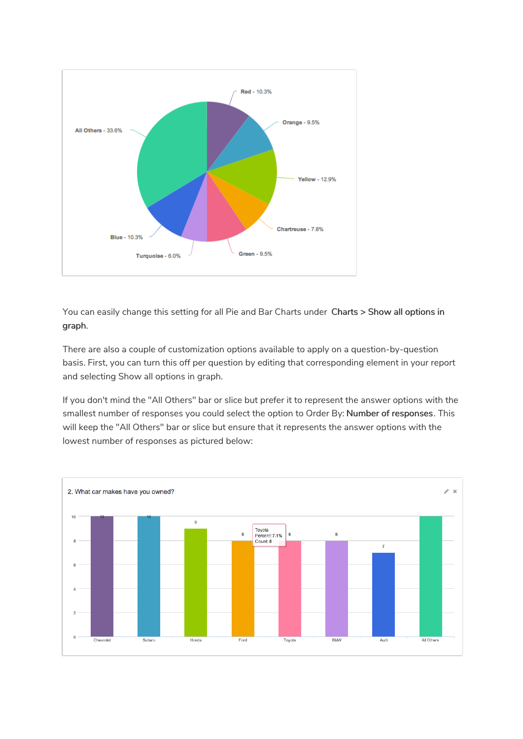

You can easily change this setting for all Pie and Bar Charts under Charts > Show all options in graph.

There are also a couple of customization options available to apply on a question-by-question basis. First, you can turn this off per question by editing that corresponding element in your report and selecting Show all options in graph.

If you don't mind the "All Others" bar or slice but prefer it to represent the answer options with the smallest number of responses you could select the option to Order By: Number of responses. This will keep the "All Others" bar or slice but ensure that it represents the answer options with the lowest number of responses as pictured below:

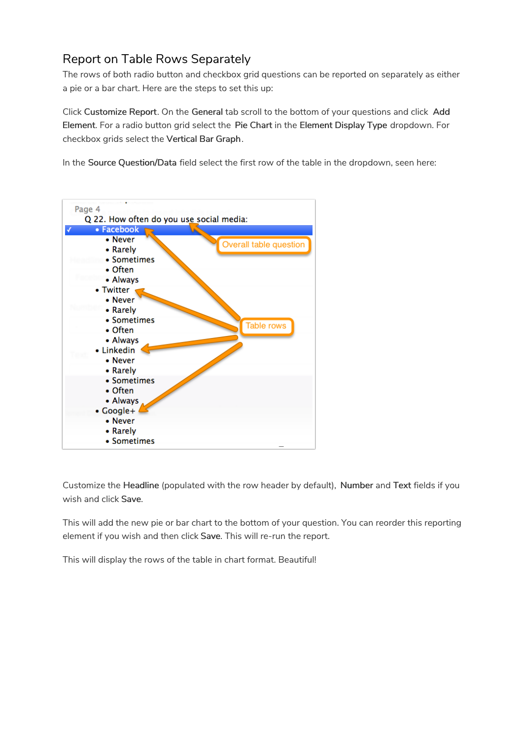# Report on Table Rows Separately

The rows of both radio button and checkbox grid questions can be reported on separately as either a pie or a bar chart. Here are the steps to set this up:

Click Customize Report. On the General tab scroll to the bottom of your questions and click Add Element. For a radio button grid select the Pie Chart in the Element Display Type dropdown. For checkbox grids select the Vertical Bar Graph.

In the Source Question/Data field select the first row of the table in the dropdown, seen here:



Customize the Headline (populated with the row header by default), Number and Text fields if you wish and click Save.

This will add the new pie or bar chart to the bottom of your question. You can reorder this reporting element if you wish and then click Save. This will re-run the report.

This will display the rows of the table in chart format. Beautiful!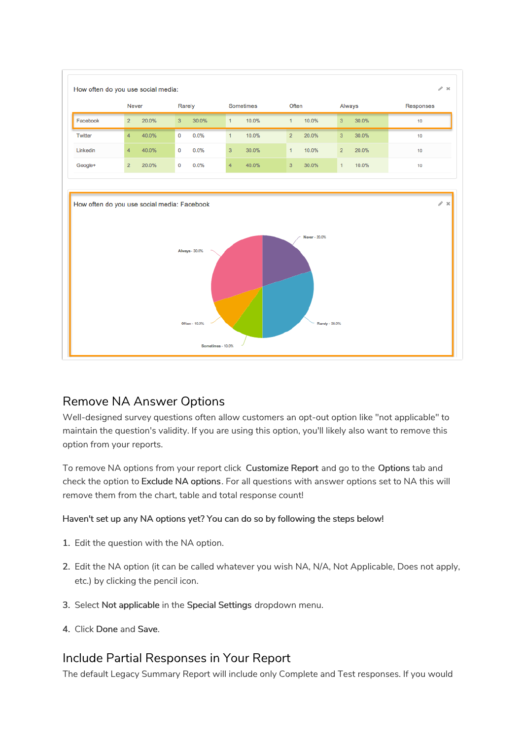

### Remove NA Answer Options

Well-designed survey questions often allow customers an opt-out option like "not applicable" to maintain the question's validity. If you are using this option, you'll likely also want to remove this option from your reports.

To remove NA options from your report click Customize Report and go to the Options tab and check the option to Exclude NA options. For all questions with answer options set to NA this will remove them from the chart, table and total response count!

#### Haven't set up any NA options yet? You can do so by following the steps below!

- 1. Edit the question with the NA option.
- 2. Edit the NA option (it can be called whatever you wish NA, N/A, Not Applicable, Does not apply, etc.) by clicking the pencil icon.
- 3. Select Not applicable in the Special Settings dropdown menu.
- 4. Click Done and Save.

### Include Partial Responses in Your Report

The default Legacy Summary Report will include only Complete and Test responses. If you would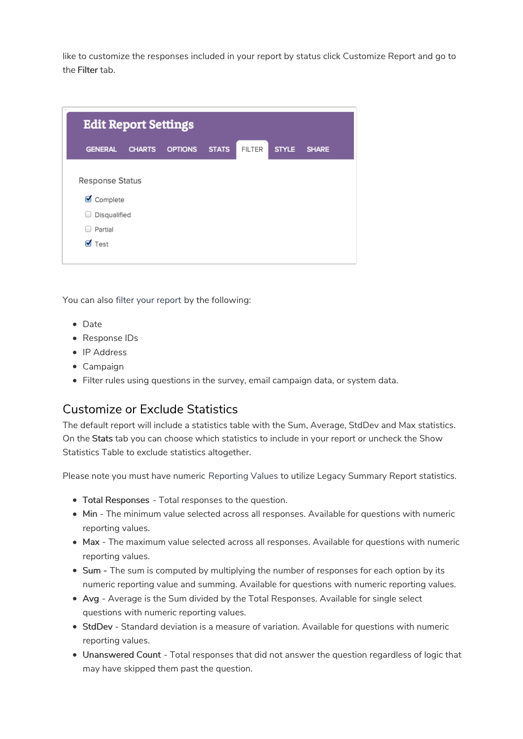like to customize the responses included in your report by status click Customize Report and go to the Filter tab.

| <b>Edit Report Settings</b>             |               |                |              |               |              |              |
|-----------------------------------------|---------------|----------------|--------------|---------------|--------------|--------------|
| <b>GENERAL</b>                          | <b>CHARTS</b> | <b>OPTIONS</b> | <b>STATS</b> | <b>FILTER</b> | <b>STYLE</b> | <b>SHARE</b> |
| <b>Response Status</b><br>☑<br>Complete |               |                |              |               |              |              |
| Disqualified<br>U.                      |               |                |              |               |              |              |
| Partial<br>⊽<br>Test                    |               |                |              |               |              |              |
|                                         |               |                |              |               |              |              |

You can also filter your report by the following:

- Date
- Response IDs
- IP Address
- Campaign
- Filter rules using questions in the survey, email campaign data, or system data.

#### Customize or Exclude Statistics

The default report will include a statistics table with the Sum, Average, StdDev and Max statistics. On the Stats tab you can choose which statistics to include in your report or uncheck the Show Statistics Table to exclude statistics altogether.

Please note you must have numeric Reporting Values to utilize Legacy Summary Report statistics.

- Total Responses Total responses to the question.
- $\bullet$  Min The minimum value selected across all responses. Available for questions with numeric reporting values.
- Max The maximum value selected across all responses. Available for questions with numeric reporting values.
- Sum The sum is computed by multiplying the number of responses for each option by its numeric reporting value and summing. Available for questions with numeric reporting values.
- Avg Average is the Sum divided by the Total Responses. Available for single select questions with numeric reporting values.
- StdDev Standard deviation is a measure of variation. Available for questions with numeric reporting values.
- Unanswered Count Total responses that did not answer the question regardless of logic that may have skipped them past the question.